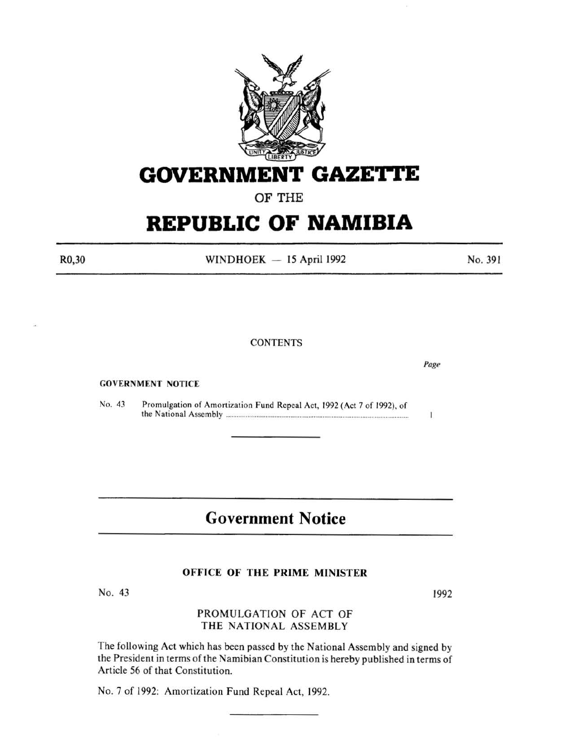

## **GOVERNMENT GAZETTE**

OF THE

# **REPUBLIC OF NAMIBIA**

R0,30

 $WINDHOEK - 15$  April 1992

#### **CONTENTS**

GOVERNMENT NOTICE

No. 43 Promulgation of Amortization Fund Repeal Act, 1992 (Act 7 of 1992), of the National Assembly ..................................................................................................... .

## **Government Notice**

### OFFICE OF THE PRIME MINISTER

No. 43

### PROMULGATION OF ACT OF THE NATIONAL ASSEMBLY

The following Act which has been passed by the National Assembly and signed by the President in terms of the Namibian Constitution is hereby published in terms of Article 56 of that Constitution.

No. 7 of 1992: Amortization Fund Repeal Act, 1992.

1992

Page

 $\bf{I}$ 

No. 391